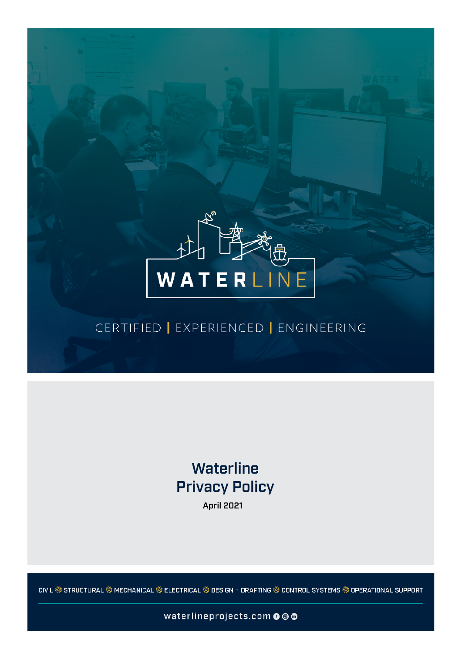

# **Waterline** Privacy Policy April 2021

CIVIL @ STRUCTURAL @ MECHANICAL @ ELECTRICAL @ DESIGN + DRAFTING @ CONTROL SYSTEMS @ OPERATIONAL SUPPORT

waterlineprojects.com  $\boldsymbol{\Theta} \circledcirc$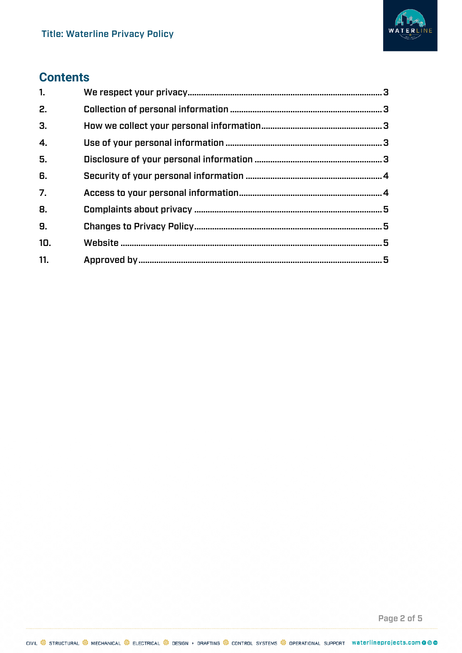

# **Contents**

| 1.               |  |
|------------------|--|
| 2.               |  |
| 3.               |  |
| $\overline{4}$ . |  |
| 5.               |  |
| 6.               |  |
| 7.               |  |
| 8.               |  |
| 9.               |  |
| 10.              |  |
| 11.              |  |

Page 2 of 5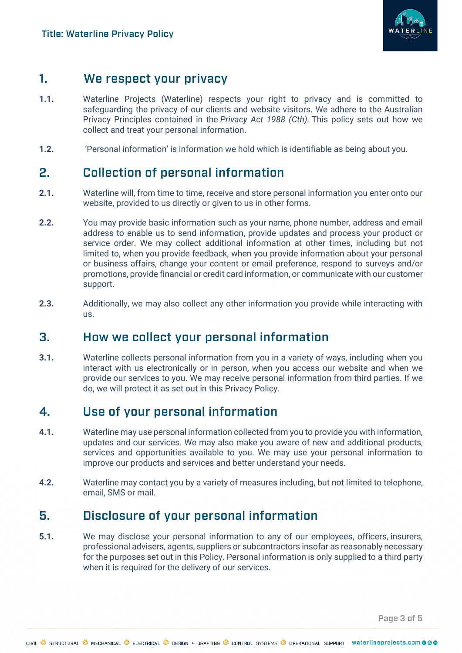

#### <span id="page-2-0"></span>1. We respect your privacy

- **1.1.** Waterline Projects (Waterline) respects your right to privacy and is committed to safeguarding the privacy of our clients and website visitors. We adhere to the Australian Privacy Principles contained in the *Privacy Act 1988 (Cth).* This policy sets out how we collect and treat your personal information.
- **1.2.** 'Personal information' is information we hold which is identifiable as being about you.

## <span id="page-2-1"></span>2. Collection of personal information

- **2.1.** Waterline will, from time to time, receive and store personal information you enter onto our website, provided to us directly or given to us in other forms.
- **2.2.** You may provide basic information such as your name, phone number, address and email address to enable us to send information, provide updates and process your product or service order. We may collect additional information at other times, including but not limited to, when you provide feedback, when you provide information about your personal or business affairs, change your content or email preference, respond to surveys and/or promotions, provide financial or credit card information, or communicate with our customer support.
- **2.3.** Additionally, we may also collect any other information you provide while interacting with us.

## <span id="page-2-2"></span>3. How we collect your personal information

**3.1.** Waterline collects personal information from you in a variety of ways, including when you interact with us electronically or in person, when you access our website and when we provide our services to you. We may receive personal information from third parties. If we do, we will protect it as set out in this Privacy Policy.

# <span id="page-2-3"></span>4. Use of your personal information

- **4.1.** Waterline may use personal information collected from you to provide you with information, updates and our services. We may also make you aware of new and additional products, services and opportunities available to you. We may use your personal information to improve our products and services and better understand your needs.
- **4.2.** Waterline may contact you by a variety of measures including, but not limited to telephone, email, SMS or mail.

#### <span id="page-2-4"></span>5. Disclosure of your personal information

**5.1.** We may disclose your personal information to any of our employees, officers, insurers, professional advisers, agents, suppliers or subcontractors insofar as reasonably necessary for the purposes set out in this Policy. Personal information is only supplied to a third party when it is required for the delivery of our services.

Page 3 of 5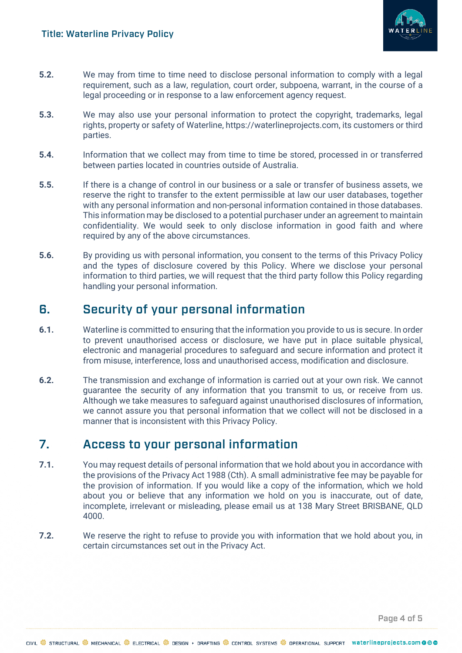

- **5.2.** We may from time to time need to disclose personal information to comply with a legal requirement, such as a law, regulation, court order, subpoena, warrant, in the course of a legal proceeding or in response to a law enforcement agency request.
- **5.3.** We may also use your personal information to protect the copyright, trademarks, legal rights, property or safety of Waterline, https://waterlineprojects.com, its customers or third parties.
- **5.4.** Information that we collect may from time to time be stored, processed in or transferred between parties located in countries outside of Australia.
- **5.5.** If there is a change of control in our business or a sale or transfer of business assets, we reserve the right to transfer to the extent permissible at law our user databases, together with any personal information and non-personal information contained in those databases. This information may be disclosed to a potential purchaser under an agreement to maintain confidentiality. We would seek to only disclose information in good faith and where required by any of the above circumstances.
- **5.6.** By providing us with personal information, you consent to the terms of this Privacy Policy and the types of disclosure covered by this Policy. Where we disclose your personal information to third parties, we will request that the third party follow this Policy regarding handling your personal information.

#### <span id="page-3-0"></span>6. Security of your personal information

- **6.1.** Waterline is committed to ensuring that the information you provide to us is secure. In order to prevent unauthorised access or disclosure, we have put in place suitable physical, electronic and managerial procedures to safeguard and secure information and protect it from misuse, interference, loss and unauthorised access, modification and disclosure.
- **6.2.** The transmission and exchange of information is carried out at your own risk. We cannot guarantee the security of any information that you transmit to us, or receive from us. Although we take measures to safeguard against unauthorised disclosures of information, we cannot assure you that personal information that we collect will not be disclosed in a manner that is inconsistent with this Privacy Policy.

#### <span id="page-3-1"></span>7. Access to your personal information

- **7.1.** You may request details of personal information that we hold about you in accordance with the provisions of the Privacy Act 1988 (Cth). A small administrative fee may be payable for the provision of information. If you would like a copy of the information, which we hold about you or believe that any information we hold on you is inaccurate, out of date, incomplete, irrelevant or misleading, please email us at 138 Mary Street BRISBANE, QLD 4000.
- **7.2.** We reserve the right to refuse to provide you with information that we hold about you, in certain circumstances set out in the Privacy Act.

Page 4 of 5